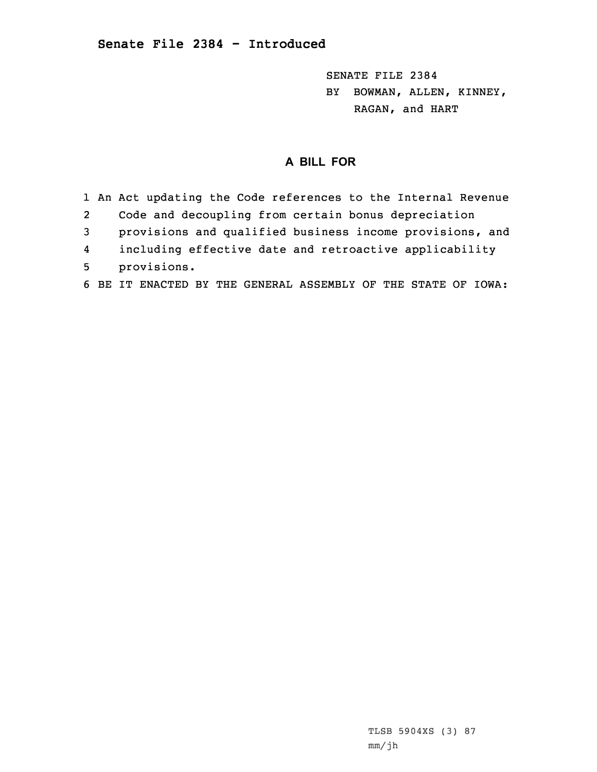SENATE FILE 2384 BY BOWMAN, ALLEN, KINNEY, RAGAN, and HART

## **A BILL FOR**

1 An Act updating the Code references to the Internal Revenue 2 Code and decoupling from certain bonus depreciation 3 provisions and qualified business income provisions, and 4 including effective date and retroactive applicability 5 provisions. 6 BE IT ENACTED BY THE GENERAL ASSEMBLY OF THE STATE OF IOWA: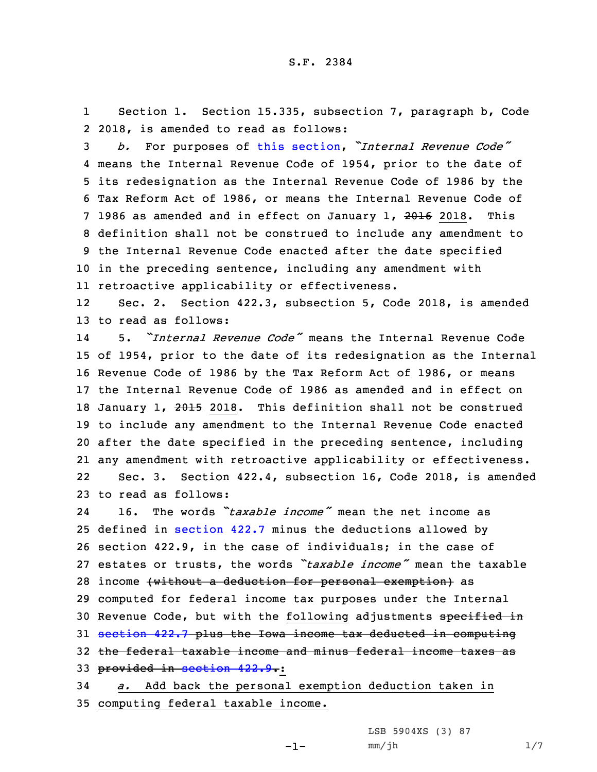1 Section 1. Section 15.335, subsection 7, paragraph b, Code 2 2018, is amended to read as follows:

 *b.* For purposes of this [section](https://www.legis.iowa.gov/docs/code/2018/15.335.pdf), *"Internal Revenue Code"* means the Internal Revenue Code of 1954, prior to the date of its redesignation as the Internal Revenue Code of 1986 by the Tax Reform Act of 1986, or means the Internal Revenue Code of 7 1986 as amended and in effect on January 1, 2016 2018. This definition shall not be construed to include any amendment to the Internal Revenue Code enacted after the date specified in the preceding sentence, including any amendment with retroactive applicability or effectiveness.

12 Sec. 2. Section 422.3, subsection 5, Code 2018, is amended 13 to read as follows:

14 5. *"Internal Revenue Code"* means the Internal Revenue Code 15 of 1954, prior to the date of its redesignation as the Internal 16 Revenue Code of 1986 by the Tax Reform Act of 1986, or means 17 the Internal Revenue Code of 1986 as amended and in effect on 18 January 1, 2015 2018. This definition shall not be construed 19 to include any amendment to the Internal Revenue Code enacted 20 after the date specified in the preceding sentence, including 21 any amendment with retroactive applicability or effectiveness. 22 Sec. 3. Section 422.4, subsection 16, Code 2018, is amended 23 to read as follows:

24 16. The words *"taxable income"* mean the net income as 25 defined in [section](https://www.legis.iowa.gov/docs/code/2018/422.7.pdf) 422.7 minus the deductions allowed by 26 section 422.9, in the case of individuals; in the case of 27 estates or trusts, the words *"taxable income"* mean the taxable 28 income (without a deduction for personal exemption) as 29 computed for federal income tax purposes under the Internal 30 Revenue Code, but with the following adjustments specified in 31 [section](https://www.legis.iowa.gov/docs/code/2018/422.7.pdf) 422.7 plus the Iowa income tax deducted in computing 32 the federal taxable income and minus federal income taxes as 33 provided in [section](https://www.legis.iowa.gov/docs/code/2018/422.9.pdf) 422.9.:

34 *a.* Add back the personal exemption deduction taken in 35 computing federal taxable income.

-1-

LSB 5904XS (3) 87  $mm/jh$  1/7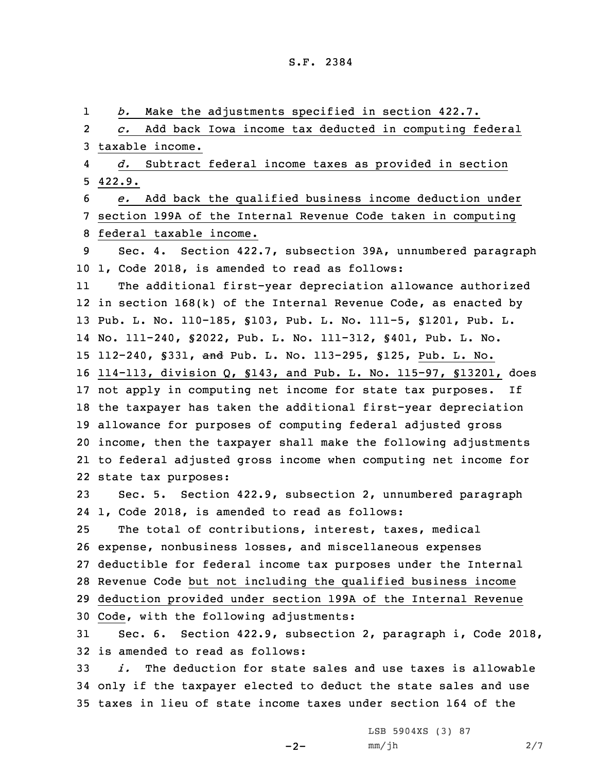1 *b.* Make the adjustments specified in section 422.7. 2 *c.* Add back Iowa income tax deducted in computing federal taxable income. 4 *d.* Subtract federal income taxes as provided in section 5 422.9. *e.* Add back the qualified business income deduction under section 199A of the Internal Revenue Code taken in computing federal taxable income. Sec. 4. Section 422.7, subsection 39A, unnumbered paragraph 1, Code 2018, is amended to read as follows: 11 The additional first-year depreciation allowance authorized in section 168(k) of the Internal Revenue Code, as enacted by Pub. L. No. 110-185, §103, Pub. L. No. 111-5, §1201, Pub. L. No. 111-240, §2022, Pub. L. No. 111-312, §401, Pub. L. No. 112-240, §331, and Pub. L. No. 113-295, §125, Pub. L. No. 114-113, division Q, §143, and Pub. L. No. 115-97, §13201, does not apply in computing net income for state tax purposes. If the taxpayer has taken the additional first-year depreciation allowance for purposes of computing federal adjusted gross income, then the taxpayer shall make the following adjustments to federal adjusted gross income when computing net income for state tax purposes: Sec. 5. Section 422.9, subsection 2, unnumbered paragraph 1, Code 2018, is amended to read as follows: The total of contributions, interest, taxes, medical expense, nonbusiness losses, and miscellaneous expenses deductible for federal income tax purposes under the Internal Revenue Code but not including the qualified business income deduction provided under section 199A of the Internal Revenue Code, with the following adjustments: Sec. 6. Section 422.9, subsection 2, paragraph i, Code 2018, is amended to read as follows: *i.* The deduction for state sales and use taxes is allowable only if the taxpayer elected to deduct the state sales and use taxes in lieu of state income taxes under section 164 of the

 $-2-$ 

LSB 5904XS (3) 87 mm/jh 2/7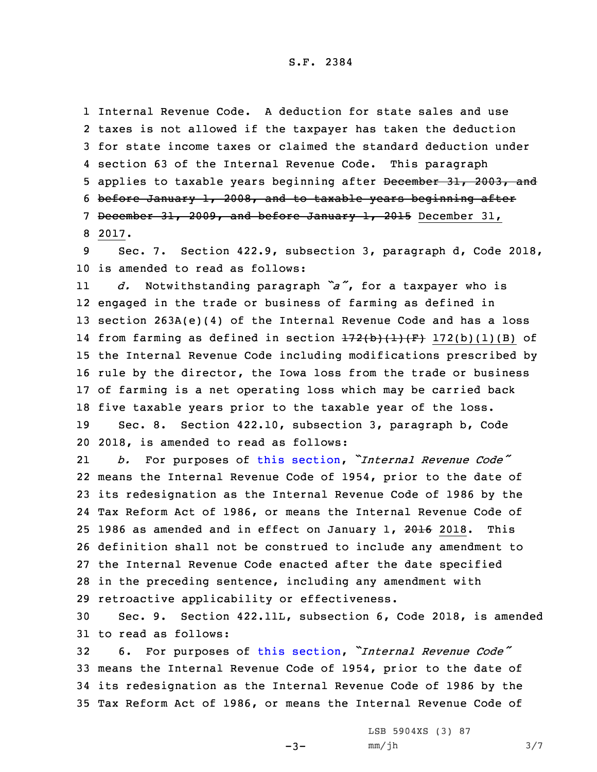S.F. 2384

 Internal Revenue Code. A deduction for state sales and use taxes is not allowed if the taxpayer has taken the deduction for state income taxes or claimed the standard deduction under section 63 of the Internal Revenue Code. This paragraph 5 applies to taxable years beginning after December 31, 2003, and before January 1, 2008, and to taxable years beginning after December 31, 2009, and before January 1, 2015 December 31, 8 2017.

9 Sec. 7. Section 422.9, subsection 3, paragraph d, Code 2018, 10 is amended to read as follows:

11 *d.* Notwithstanding paragraph *"a"*, for <sup>a</sup> taxpayer who is engaged in the trade or business of farming as defined in section 263A(e)(4) of the Internal Revenue Code and has <sup>a</sup> loss 14 from farming as defined in section <del>172(b)(l)(F)</del> 172(b)(l)(B) of the Internal Revenue Code including modifications prescribed by rule by the director, the Iowa loss from the trade or business of farming is <sup>a</sup> net operating loss which may be carried back five taxable years prior to the taxable year of the loss.

19 Sec. 8. Section 422.10, subsection 3, paragraph b, Code 20 2018, is amended to read as follows:

21 *b.* For purposes of this [section](https://www.legis.iowa.gov/docs/code/2018/422.10.pdf), *"Internal Revenue Code"* means the Internal Revenue Code of 1954, prior to the date of its redesignation as the Internal Revenue Code of 1986 by the Tax Reform Act of 1986, or means the Internal Revenue Code of 25 1986 as amended and in effect on January 1, 2016 2018. This definition shall not be construed to include any amendment to the Internal Revenue Code enacted after the date specified in the preceding sentence, including any amendment with retroactive applicability or effectiveness.

30 Sec. 9. Section 422.11L, subsection 6, Code 2018, is amended 31 to read as follows:

 6. For purposes of this [section](https://www.legis.iowa.gov/docs/code/2018/422.11L.pdf), *"Internal Revenue Code"* means the Internal Revenue Code of 1954, prior to the date of its redesignation as the Internal Revenue Code of 1986 by the Tax Reform Act of 1986, or means the Internal Revenue Code of

 $-3-$ 

LSB 5904XS (3) 87 mm/jh 3/7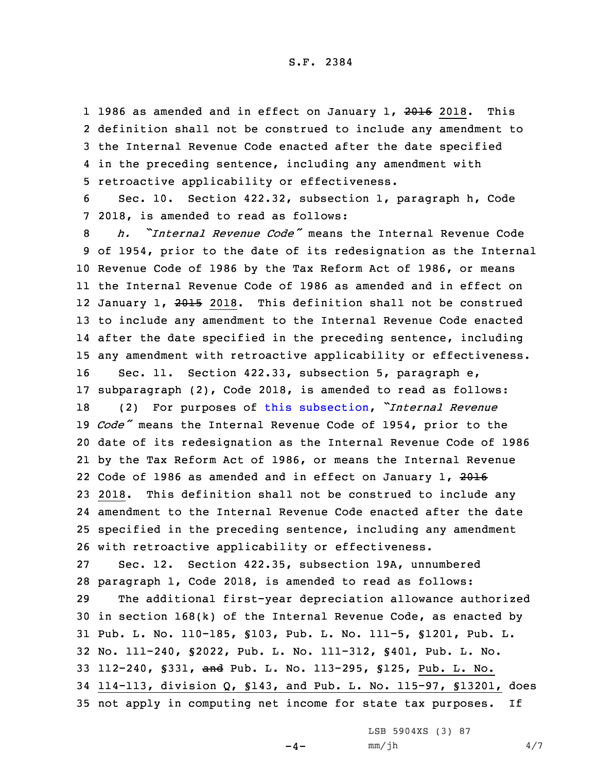1 1986 as amended and in effect on January 1, 2016 2018. This definition shall not be construed to include any amendment to the Internal Revenue Code enacted after the date specified in the preceding sentence, including any amendment with retroactive applicability or effectiveness.

6 Sec. 10. Section 422.32, subsection 1, paragraph h, Code 7 2018, is amended to read as follows:

 *h. "Internal Revenue Code"* means the Internal Revenue Code of 1954, prior to the date of its redesignation as the Internal Revenue Code of 1986 by the Tax Reform Act of 1986, or means the Internal Revenue Code of 1986 as amended and in effect on 12 January 1, <del>2015</del> 2018. This definition shall not be construed to include any amendment to the Internal Revenue Code enacted after the date specified in the preceding sentence, including any amendment with retroactive applicability or effectiveness. Sec. 11. Section 422.33, subsection 5, paragraph e, subparagraph (2), Code 2018, is amended to read as follows: (2) For purposes of this [subsection](https://www.legis.iowa.gov/docs/code/2018/422.33.pdf), *"Internal Revenue Code"* means the Internal Revenue Code of 1954, prior to the date of its redesignation as the Internal Revenue Code of 1986 by the Tax Reform Act of 1986, or means the Internal Revenue 22 Code of 1986 as amended and in effect on January 1, <del>2016</del> 2018. This definition shall not be construed to include any amendment to the Internal Revenue Code enacted after the date specified in the preceding sentence, including any amendment with retroactive applicability or effectiveness. Sec. 12. Section 422.35, subsection 19A, unnumbered paragraph 1, Code 2018, is amended to read as follows:

 The additional first-year depreciation allowance authorized in section 168(k) of the Internal Revenue Code, as enacted by Pub. L. No. 110-185, §103, Pub. L. No. 111-5, §1201, Pub. L. No. 111-240, §2022, Pub. L. No. 111-312, §401, Pub. L. No. 112-240, §331, and Pub. L. No. 113-295, §125, Pub. L. No. 114-113, division Q, §143, and Pub. L. No. 115-97, §13201, does not apply in computing net income for state tax purposes. If

LSB 5904XS (3) 87

 $-4-$ 

mm/jh 4/7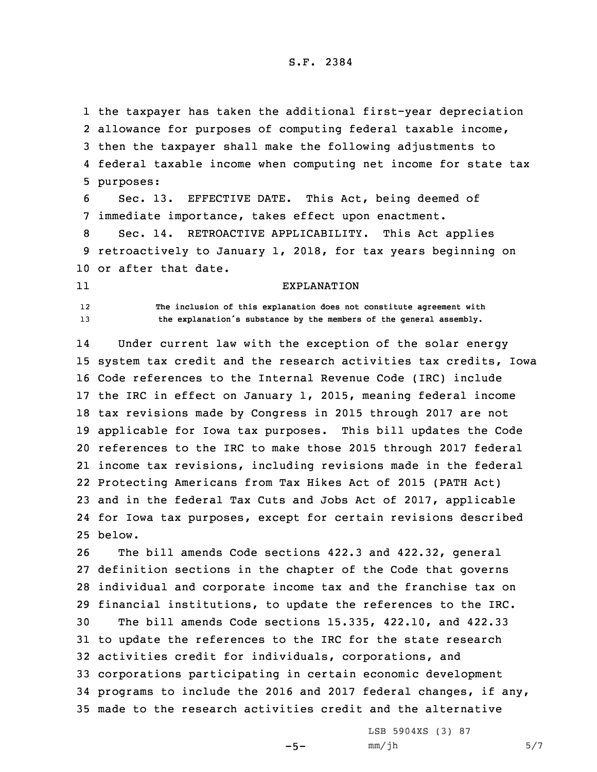the taxpayer has taken the additional first-year depreciation allowance for purposes of computing federal taxable income, then the taxpayer shall make the following adjustments to federal taxable income when computing net income for state tax purposes:

6 Sec. 13. EFFECTIVE DATE. This Act, being deemed of 7 immediate importance, takes effect upon enactment.

8 Sec. 14. RETROACTIVE APPLICABILITY. This Act applies 9 retroactively to January 1, 2018, for tax years beginning on 10 or after that date.

## 11

EXPLANATION

12

 **The inclusion of this explanation does not constitute agreement with** <sup>13</sup> **the explanation's substance by the members of the general assembly.**

14 Under current law with the exception of the solar energy system tax credit and the research activities tax credits, Iowa Code references to the Internal Revenue Code (IRC) include the IRC in effect on January 1, 2015, meaning federal income tax revisions made by Congress in 2015 through 2017 are not applicable for Iowa tax purposes. This bill updates the Code references to the IRC to make those 2015 through 2017 federal income tax revisions, including revisions made in the federal Protecting Americans from Tax Hikes Act of 2015 (PATH Act) and in the federal Tax Cuts and Jobs Act of 2017, applicable for Iowa tax purposes, except for certain revisions described 25 below.

 The bill amends Code sections 422.3 and 422.32, general definition sections in the chapter of the Code that governs individual and corporate income tax and the franchise tax on financial institutions, to update the references to the IRC. The bill amends Code sections 15.335, 422.10, and 422.33 to update the references to the IRC for the state research activities credit for individuals, corporations, and corporations participating in certain economic development programs to include the 2016 and 2017 federal changes, if any, made to the research activities credit and the alternative

 $-5-$ 

LSB 5904XS (3) 87  $mm/jh$  5/7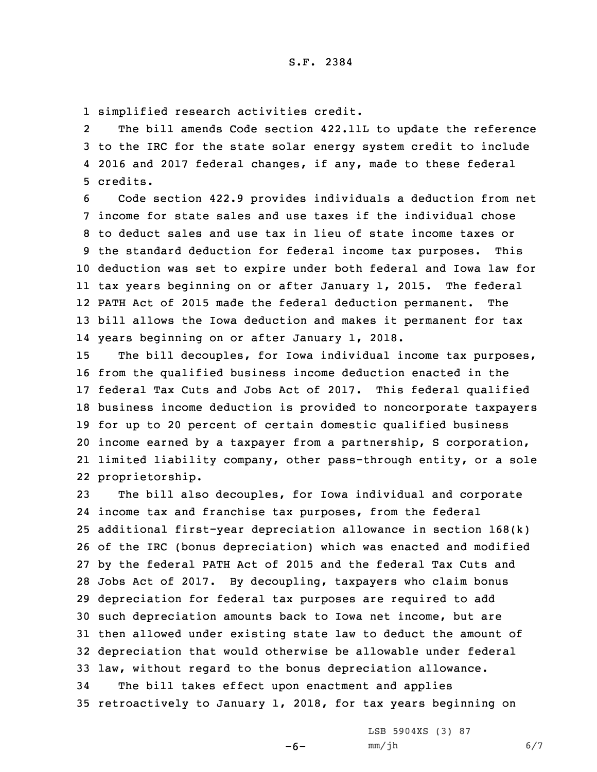1 simplified research activities credit.

2 The bill amends Code section 422.11L to update the reference 3 to the IRC for the state solar energy system credit to include 4 2016 and 2017 federal changes, if any, made to these federal 5 credits.

 Code section 422.9 provides individuals <sup>a</sup> deduction from net income for state sales and use taxes if the individual chose to deduct sales and use tax in lieu of state income taxes or the standard deduction for federal income tax purposes. This deduction was set to expire under both federal and Iowa law for tax years beginning on or after January 1, 2015. The federal PATH Act of 2015 made the federal deduction permanent. The bill allows the Iowa deduction and makes it permanent for tax years beginning on or after January 1, 2018.

 The bill decouples, for Iowa individual income tax purposes, from the qualified business income deduction enacted in the federal Tax Cuts and Jobs Act of 2017. This federal qualified business income deduction is provided to noncorporate taxpayers for up to 20 percent of certain domestic qualified business income earned by <sup>a</sup> taxpayer from <sup>a</sup> partnership, S corporation, limited liability company, other pass-through entity, or <sup>a</sup> sole proprietorship.

 The bill also decouples, for Iowa individual and corporate income tax and franchise tax purposes, from the federal additional first-year depreciation allowance in section 168(k) of the IRC (bonus depreciation) which was enacted and modified by the federal PATH Act of 2015 and the federal Tax Cuts and Jobs Act of 2017. By decoupling, taxpayers who claim bonus depreciation for federal tax purposes are required to add such depreciation amounts back to Iowa net income, but are then allowed under existing state law to deduct the amount of depreciation that would otherwise be allowable under federal law, without regard to the bonus depreciation allowance. The bill takes effect upon enactment and applies

35 retroactively to January 1, 2018, for tax years beginning on

 $-6-$ 

LSB 5904XS (3) 87 mm/jh 6/7